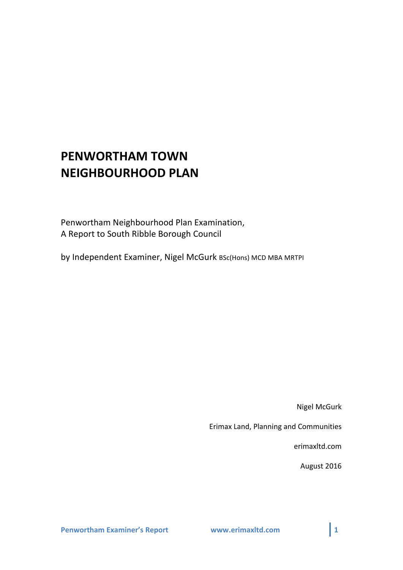# **PENWORTHAM TOWN NEIGHBOURHOOD PLAN**

Penwortham Neighbourhood Plan Examination, A Report to South Ribble Borough Council

by Independent Examiner, Nigel McGurk BSc(Hons) MCD MBA MRTPI

Nigel McGurk

Erimax Land, Planning and Communities

erimaxltd.com

August 2016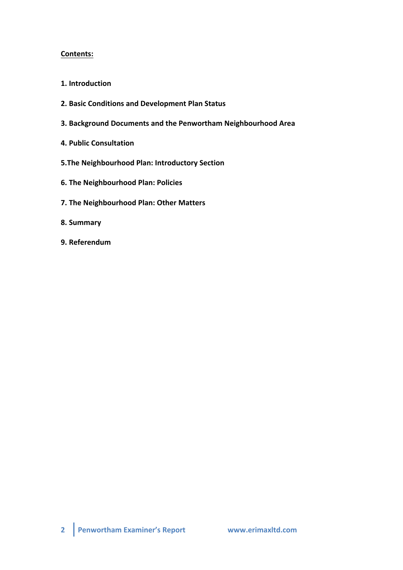## **Contents:**

- 1. Introduction
- **2. Basic Conditions and Development Plan Status**
- **3. Background Documents and the Penwortham Neighbourhood Area**
- **4. Public Consultation**
- **5.The Neighbourhood Plan: Introductory Section**
- **6. The Neighbourhood Plan: Policies**
- **7. The Neighbourhood Plan: Other Matters**
- **8. Summary**
- **9. Referendum**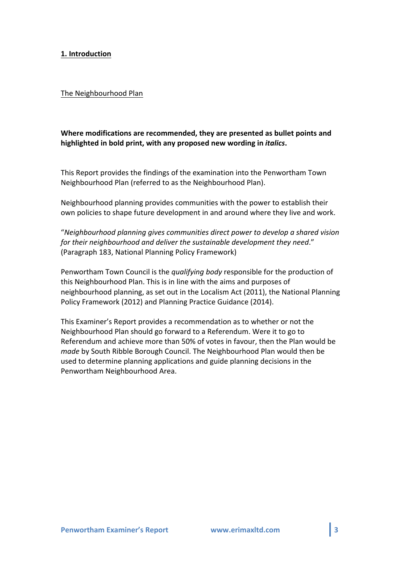## **1. Introduction**

#### The Neighbourhood Plan

# Where modifications are recommended, they are presented as bullet points and highlighted in bold print, with any proposed new wording in *italics*.

This Report provides the findings of the examination into the Penwortham Town Neighbourhood Plan (referred to as the Neighbourhood Plan).

Neighbourhood planning provides communities with the power to establish their own policies to shape future development in and around where they live and work.

"*Neighbourhood planning gives communities direct power to develop a shared vision*  for their neighbourhood and deliver the sustainable development they need." (Paragraph 183, National Planning Policy Framework)

Penwortham Town Council is the *qualifying body* responsible for the production of this Neighbourhood Plan. This is in line with the aims and purposes of neighbourhood planning, as set out in the Localism Act (2011), the National Planning Policy Framework (2012) and Planning Practice Guidance (2014).

This Examiner's Report provides a recommendation as to whether or not the Neighbourhood Plan should go forward to a Referendum. Were it to go to Referendum and achieve more than 50% of votes in favour, then the Plan would be *made* by South Ribble Borough Council. The Neighbourhood Plan would then be used to determine planning applications and guide planning decisions in the Penwortham Neighbourhood Area.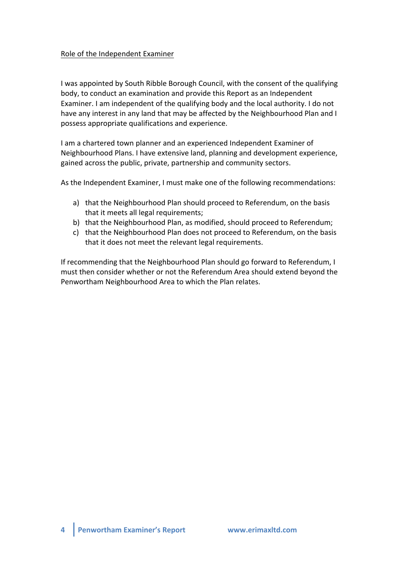## Role of the Independent Examiner

I was appointed by South Ribble Borough Council, with the consent of the qualifying body, to conduct an examination and provide this Report as an Independent Examiner. I am independent of the qualifying body and the local authority. I do not have any interest in any land that may be affected by the Neighbourhood Plan and I possess appropriate qualifications and experience.

I am a chartered town planner and an experienced Independent Examiner of Neighbourhood Plans. I have extensive land, planning and development experience, gained across the public, private, partnership and community sectors.

As the Independent Examiner, I must make one of the following recommendations:

- a) that the Neighbourhood Plan should proceed to Referendum, on the basis that it meets all legal requirements;
- b) that the Neighbourhood Plan, as modified, should proceed to Referendum;
- c) that the Neighbourhood Plan does not proceed to Referendum, on the basis that it does not meet the relevant legal requirements.

If recommending that the Neighbourhood Plan should go forward to Referendum, I must then consider whether or not the Referendum Area should extend beyond the Penwortham Neighbourhood Area to which the Plan relates.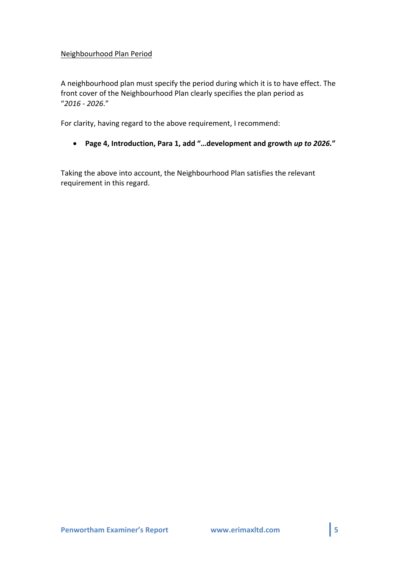## Neighbourhood Plan Period

A neighbourhood plan must specify the period during which it is to have effect. The front cover of the Neighbourhood Plan clearly specifies the plan period as "*2016 - 2026*." 

For clarity, having regard to the above requirement, I recommend:

• **Page 4, Introduction, Para 1, add "…development and growth** *up to 2026.***"**

Taking the above into account, the Neighbourhood Plan satisfies the relevant requirement in this regard.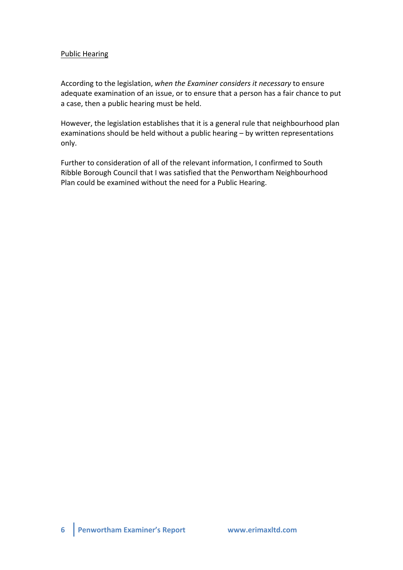## Public Hearing

According to the legislation, when the Examiner considers it necessary to ensure adequate examination of an issue, or to ensure that a person has a fair chance to put a case, then a public hearing must be held.

However, the legislation establishes that it is a general rule that neighbourhood plan examinations should be held without a public hearing - by written representations only. 

Further to consideration of all of the relevant information, I confirmed to South Ribble Borough Council that I was satisfied that the Penwortham Neighbourhood Plan could be examined without the need for a Public Hearing.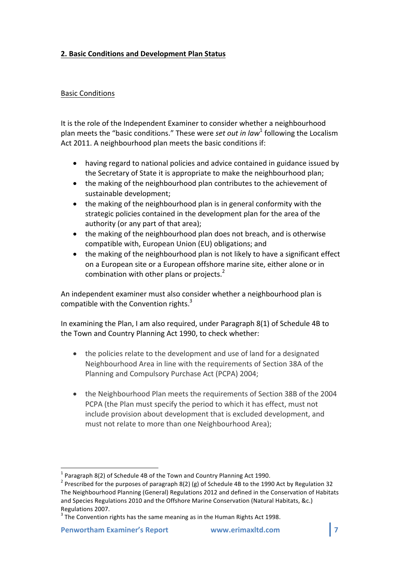# **2. Basic Conditions and Development Plan Status**

## Basic Conditions

It is the role of the Independent Examiner to consider whether a neighbourhood plan meets the "basic conditions." These were *set out in law*<sup>1</sup> following the Localism Act 2011. A neighbourhood plan meets the basic conditions if:

- having regard to national policies and advice contained in guidance issued by the Secretary of State it is appropriate to make the neighbourhood plan;
- the making of the neighbourhood plan contributes to the achievement of sustainable development;
- $\bullet$  the making of the neighbourhood plan is in general conformity with the strategic policies contained in the development plan for the area of the authority (or any part of that area);
- the making of the neighbourhood plan does not breach, and is otherwise compatible with, European Union (EU) obligations; and
- the making of the neighbourhood plan is not likely to have a significant effect on a European site or a European offshore marine site, either alone or in combination with other plans or projects. $<sup>2</sup>$ </sup>

An independent examiner must also consider whether a neighbourhood plan is compatible with the Convention rights. $3$ 

In examining the Plan, I am also required, under Paragraph 8(1) of Schedule 4B to the Town and Country Planning Act 1990, to check whether:

- $\bullet$  the policies relate to the development and use of land for a designated Neighbourhood Area in line with the requirements of Section 38A of the Planning and Compulsory Purchase Act (PCPA) 2004;
- the Neighbourhood Plan meets the requirements of Section 38B of the 2004 PCPA (the Plan must specify the period to which it has effect, must not include provision about development that is excluded development, and must not relate to more than one Neighbourhood Area);

<sup>&</sup>lt;sup>1</sup> Paragraph 8(2) of Schedule 4B of the Town and Country Planning Act 1990.<br><sup>2</sup> Prescribed for the purposes of paragraph 8(2) (g) of Schedule 4B to the 1990 Act by Regulation 32 The Neighbourhood Planning (General) Regulations 2012 and defined in the Conservation of Habitats and Species Regulations 2010 and the Offshore Marine Conservation (Natural Habitats, &c.)

Regulations 2007.<br> $3$  The Convention rights has the same meaning as in the Human Rights Act 1998.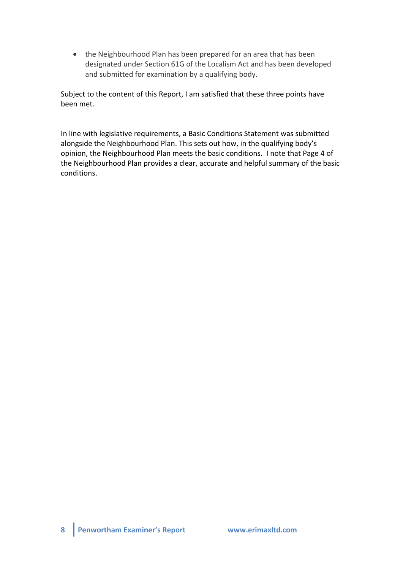• the Neighbourhood Plan has been prepared for an area that has been designated under Section 61G of the Localism Act and has been developed and submitted for examination by a qualifying body.

Subject to the content of this Report, I am satisfied that these three points have been met.

In line with legislative requirements, a Basic Conditions Statement was submitted alongside the Neighbourhood Plan. This sets out how, in the qualifying body's opinion, the Neighbourhood Plan meets the basic conditions. I note that Page 4 of the Neighbourhood Plan provides a clear, accurate and helpful summary of the basic conditions.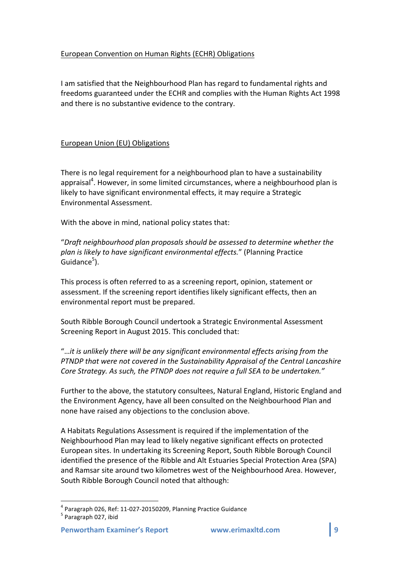# European Convention on Human Rights (ECHR) Obligations

I am satisfied that the Neighbourhood Plan has regard to fundamental rights and freedoms guaranteed under the ECHR and complies with the Human Rights Act 1998 and there is no substantive evidence to the contrary.

# European Union (EU) Obligations

There is no legal requirement for a neighbourhood plan to have a sustainability appraisal<sup>4</sup>. However, in some limited circumstances, where a neighbourhood plan is likely to have significant environmental effects, it may require a Strategic Environmental Assessment. 

With the above in mind, national policy states that:

"Draft neighbourhood plan proposals should be assessed to determine whether the plan is likely to have significant environmental effects." (Planning Practice Guidance<sup>5</sup>).

This process is often referred to as a screening report, opinion, statement or assessment. If the screening report identifies likely significant effects, then an environmental report must be prepared.

South Ribble Borough Council undertook a Strategic Environmental Assessment Screening Report in August 2015. This concluded that:

"...it is unlikely there will be any significant environmental effects arising from the *PTNDP* that were not covered in the Sustainability Appraisal of the Central Lancashire *Core Strategy. As such, the PTNDP does not require a full SEA to be undertaken."* 

Further to the above, the statutory consultees, Natural England, Historic England and the Environment Agency, have all been consulted on the Neighbourhood Plan and none have raised any objections to the conclusion above.

A Habitats Regulations Assessment is required if the implementation of the Neighbourhood Plan may lead to likely negative significant effects on protected European sites. In undertaking its Screening Report, South Ribble Borough Council identified the presence of the Ribble and Alt Estuaries Special Protection Area (SPA) and Ramsar site around two kilometres west of the Neighbourhood Area. However, South Ribble Borough Council noted that although:

 $^4$  Paragraph 026, Ref: 11-027-20150209, Planning Practice Guidance  $^5$  Paragraph 027, ibid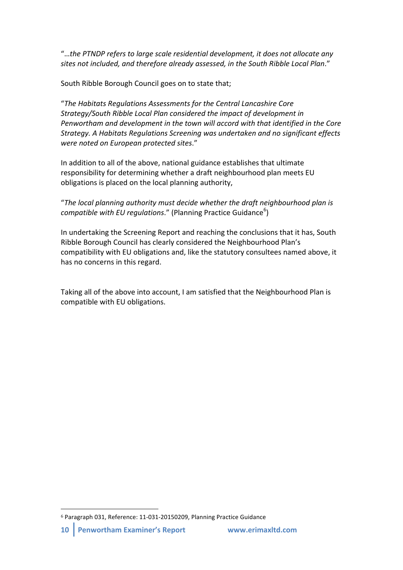"...the PTNDP refers to large scale residential development, it does not allocate any sites not included, and therefore already assessed, in the South Ribble Local Plan."

South Ribble Borough Council goes on to state that;

"The Habitats Regulations Assessments for the Central Lancashire Core *Strategy/South Ribble Local Plan considered the impact of development in* Penwortham and development in the town will accord with that identified in the Core *Strategy.* A Habitats Regulations Screening was undertaken and no significant effects *were noted on European protected sites*."

In addition to all of the above, national guidance establishes that ultimate responsibility for determining whether a draft neighbourhood plan meets EU obligations is placed on the local planning authority,

"The local planning authority must decide whether the draft neighbourhood plan is compatible with EU regulations." (Planning Practice Guidance<sup>6</sup>)

In undertaking the Screening Report and reaching the conclusions that it has, South Ribble Borough Council has clearly considered the Neighbourhood Plan's compatibility with EU obligations and, like the statutory consultees named above, it has no concerns in this regard.

Taking all of the above into account, I am satisfied that the Neighbourhood Plan is compatible with EU obligations.

 

<sup>&</sup>lt;sup>6</sup> Paragraph 031, Reference: 11-031-20150209, Planning Practice Guidance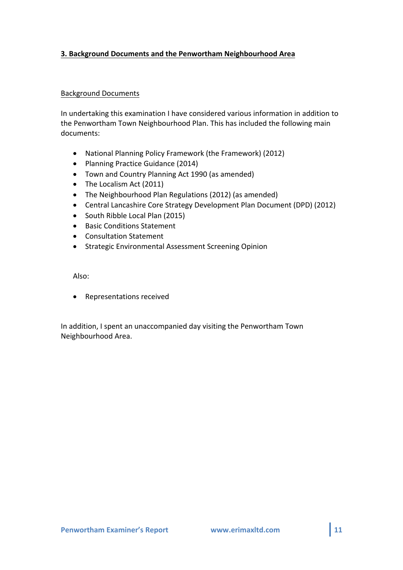# **3. Background Documents and the Penwortham Neighbourhood Area**

## Background Documents

In undertaking this examination I have considered various information in addition to the Penwortham Town Neighbourhood Plan. This has included the following main documents:

- National Planning Policy Framework (the Framework) (2012)
- Planning Practice Guidance (2014)
- Town and Country Planning Act 1990 (as amended)
- The Localism Act (2011)
- The Neighbourhood Plan Regulations (2012) (as amended)
- Central Lancashire Core Strategy Development Plan Document (DPD) (2012)
- South Ribble Local Plan (2015)
- Basic Conditions Statement
- Consultation Statement
- Strategic Environmental Assessment Screening Opinion

Also:

• Representations received

In addition, I spent an unaccompanied day visiting the Penwortham Town Neighbourhood Area.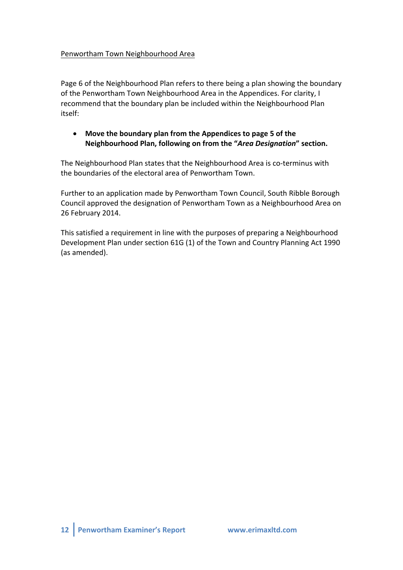# Penwortham Town Neighbourhood Area

Page 6 of the Neighbourhood Plan refers to there being a plan showing the boundary of the Penwortham Town Neighbourhood Area in the Appendices. For clarity, I recommend that the boundary plan be included within the Neighbourhood Plan itself:

# • Move the boundary plan from the Appendices to page 5 of the **Neighbourhood Plan, following on from the "***Area Designation***" section.**

The Neighbourhood Plan states that the Neighbourhood Area is co-terminus with the boundaries of the electoral area of Penwortham Town.

Further to an application made by Penwortham Town Council, South Ribble Borough Council approved the designation of Penwortham Town as a Neighbourhood Area on 26 February 2014.

This satisfied a requirement in line with the purposes of preparing a Neighbourhood Development Plan under section 61G (1) of the Town and Country Planning Act 1990 (as amended).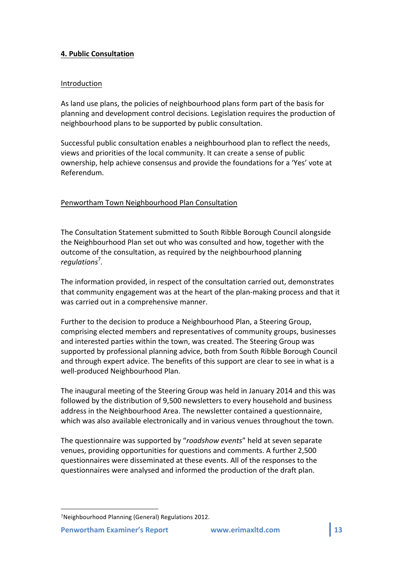# **4. Public Consultation**

## Introduction

As land use plans, the policies of neighbourhood plans form part of the basis for planning and development control decisions. Legislation requires the production of neighbourhood plans to be supported by public consultation.

Successful public consultation enables a neighbourhood plan to reflect the needs, views and priorities of the local community. It can create a sense of public ownership, help achieve consensus and provide the foundations for a 'Yes' vote at Referendum.

# Penwortham Town Neighbourhood Plan Consultation

The Consultation Statement submitted to South Ribble Borough Council alongside the Neighbourhood Plan set out who was consulted and how, together with the outcome of the consultation, as required by the neighbourhood planning *regulations* 7 *.*

The information provided, in respect of the consultation carried out, demonstrates that community engagement was at the heart of the plan-making process and that it was carried out in a comprehensive manner.

Further to the decision to produce a Neighbourhood Plan, a Steering Group, comprising elected members and representatives of community groups, businesses and interested parties within the town, was created. The Steering Group was supported by professional planning advice, both from South Ribble Borough Council and through expert advice. The benefits of this support are clear to see in what is a well-produced Neighbourhood Plan.

The inaugural meeting of the Steering Group was held in January 2014 and this was followed by the distribution of 9,500 newsletters to every household and business address in the Neighbourhood Area. The newsletter contained a questionnaire, which was also available electronically and in various venues throughout the town.

The questionnaire was supported by "roadshow events" held at seven separate venues, providing opportunities for questions and comments. A further 2,500 questionnaires were disseminated at these events. All of the responses to the questionnaires were analysed and informed the production of the draft plan.

 

<sup>7</sup>Neighbourhood Planning (General) Regulations 2012.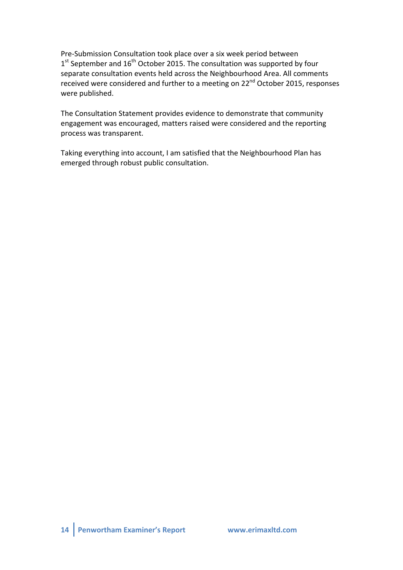Pre-Submission Consultation took place over a six week period between  $1<sup>st</sup>$  September and  $16<sup>th</sup>$  October 2015. The consultation was supported by four separate consultation events held across the Neighbourhood Area. All comments received were considered and further to a meeting on 22<sup>nd</sup> October 2015, responses were published.

The Consultation Statement provides evidence to demonstrate that community engagement was encouraged, matters raised were considered and the reporting process was transparent.

Taking everything into account, I am satisfied that the Neighbourhood Plan has emerged through robust public consultation.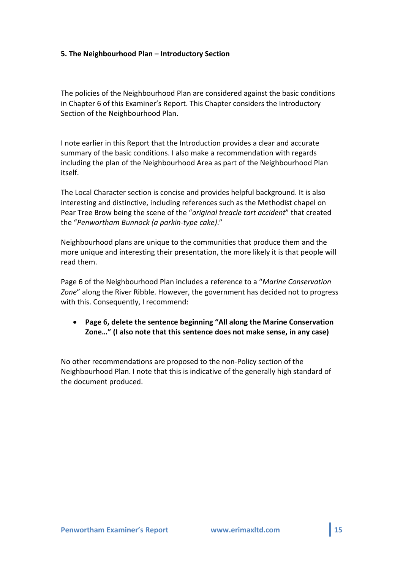## **5.** The Neighbourhood Plan – Introductory Section

The policies of the Neighbourhood Plan are considered against the basic conditions in Chapter 6 of this Examiner's Report. This Chapter considers the Introductory Section of the Neighbourhood Plan.

I note earlier in this Report that the Introduction provides a clear and accurate summary of the basic conditions. I also make a recommendation with regards including the plan of the Neighbourhood Area as part of the Neighbourhood Plan itself. 

The Local Character section is concise and provides helpful background. It is also interesting and distinctive, including references such as the Methodist chapel on Pear Tree Brow being the scene of the "*original treacle tart accident*" that created the "Penwortham Bunnock (a parkin-type cake)."

Neighbourhood plans are unique to the communities that produce them and the more unique and interesting their presentation, the more likely it is that people will read them.

Page 6 of the Neighbourhood Plan includes a reference to a "Marine Conservation Zone" along the River Ribble. However, the government has decided not to progress with this. Consequently, I recommend:

• Page 6, delete the sentence beginning "All along the Marine Conservation **Zone..."** (I also note that this sentence does not make sense, in any case)

No other recommendations are proposed to the non-Policy section of the Neighbourhood Plan. I note that this is indicative of the generally high standard of the document produced.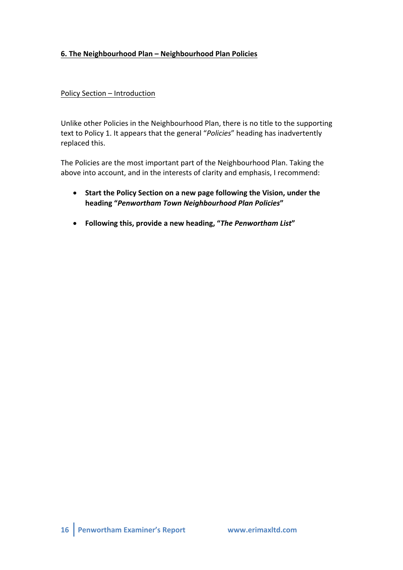# 6. The Neighbourhood Plan - Neighbourhood Plan Policies

# Policy Section – Introduction

Unlike other Policies in the Neighbourhood Plan, there is no title to the supporting text to Policy 1. It appears that the general "Policies" heading has inadvertently replaced this.

The Policies are the most important part of the Neighbourhood Plan. Taking the above into account, and in the interests of clarity and emphasis, I recommend:

- Start the Policy Section on a new page following the Vision, under the **heading "***Penwortham Town Neighbourhood Plan Policies***"**
- Following this, provide a new heading, "The Penwortham List"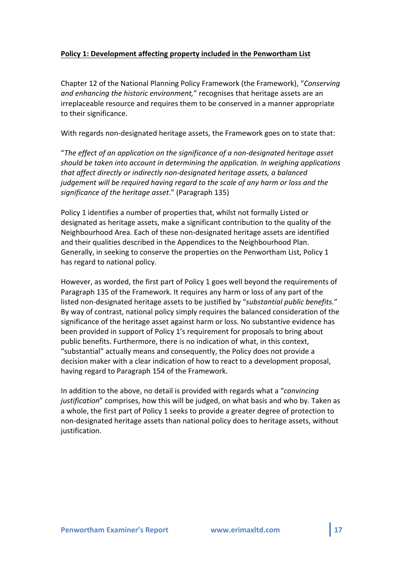## **Policy 1: Development affecting property included in the Penwortham List**

Chapter 12 of the National Planning Policy Framework (the Framework), "Conserving *and enhancing the historic environment*," recognises that heritage assets are an irreplaceable resource and requires them to be conserved in a manner appropriate to their significance.

With regards non-designated heritage assets, the Framework goes on to state that:

"The effect of an application on the significance of a non-designated heritage asset *should* be taken into account in determining the application. In weighing applications *that affect directly or indirectly non-designated heritage assets, a balanced judgement will be required having regard to the scale of any harm or loss and the* significance of the heritage asset." (Paragraph 135)

Policy 1 identifies a number of properties that, whilst not formally Listed or designated as heritage assets, make a significant contribution to the quality of the Neighbourhood Area. Each of these non-designated heritage assets are identified and their qualities described in the Appendices to the Neighbourhood Plan. Generally, in seeking to conserve the properties on the Penwortham List, Policy 1 has regard to national policy.

However, as worded, the first part of Policy 1 goes well beyond the requirements of Paragraph 135 of the Framework. It requires any harm or loss of any part of the listed non-designated heritage assets to be justified by "*substantial public benefits.*" By way of contrast, national policy simply requires the balanced consideration of the significance of the heritage asset against harm or loss. No substantive evidence has been provided in support of Policy 1's requirement for proposals to bring about public benefits. Furthermore, there is no indication of what, in this context, "substantial" actually means and consequently, the Policy does not provide a decision maker with a clear indication of how to react to a development proposal, having regard to Paragraph 154 of the Framework.

In addition to the above, no detail is provided with regards what a "*convincing* justification" comprises, how this will be judged, on what basis and who by. Taken as a whole, the first part of Policy 1 seeks to provide a greater degree of protection to non-designated heritage assets than national policy does to heritage assets, without justification.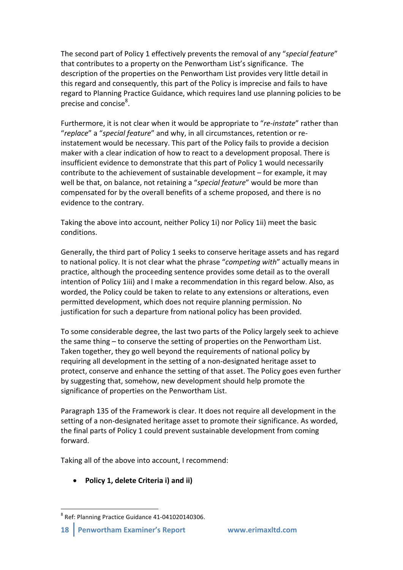The second part of Policy 1 effectively prevents the removal of any "*special feature*" that contributes to a property on the Penwortham List's significance. The description of the properties on the Penwortham List provides very little detail in this regard and consequently, this part of the Policy is imprecise and fails to have regard to Planning Practice Guidance, which requires land use planning policies to be precise and concise<sup>8</sup>.

Furthermore, it is not clear when it would be appropriate to "*re-instate*" rather than "replace" a "special feature" and why, in all circumstances, retention or reinstatement would be necessary. This part of the Policy fails to provide a decision maker with a clear indication of how to react to a development proposal. There is insufficient evidence to demonstrate that this part of Policy 1 would necessarily contribute to the achievement of sustainable development  $-$  for example, it may well be that, on balance, not retaining a "special feature" would be more than compensated for by the overall benefits of a scheme proposed, and there is no evidence to the contrary.

Taking the above into account, neither Policy 1i) nor Policy 1ii) meet the basic conditions. 

Generally, the third part of Policy 1 seeks to conserve heritage assets and has regard to national policy. It is not clear what the phrase "competing with" actually means in practice, although the proceeding sentence provides some detail as to the overall intention of Policy 1iii) and I make a recommendation in this regard below. Also, as worded, the Policy could be taken to relate to any extensions or alterations, even permitted development, which does not require planning permission. No justification for such a departure from national policy has been provided.

To some considerable degree, the last two parts of the Policy largely seek to achieve the same thing  $-$  to conserve the setting of properties on the Penwortham List. Taken together, they go well beyond the requirements of national policy by requiring all development in the setting of a non-designated heritage asset to protect, conserve and enhance the setting of that asset. The Policy goes even further by suggesting that, somehow, new development should help promote the significance of properties on the Penwortham List.

Paragraph 135 of the Framework is clear. It does not require all development in the setting of a non-designated heritage asset to promote their significance. As worded, the final parts of Policy 1 could prevent sustainable development from coming forward.

Taking all of the above into account, I recommend:

# • Policy 1, delete Criteria i) and ii)

 $8$  Ref: Planning Practice Guidance 41-041020140306.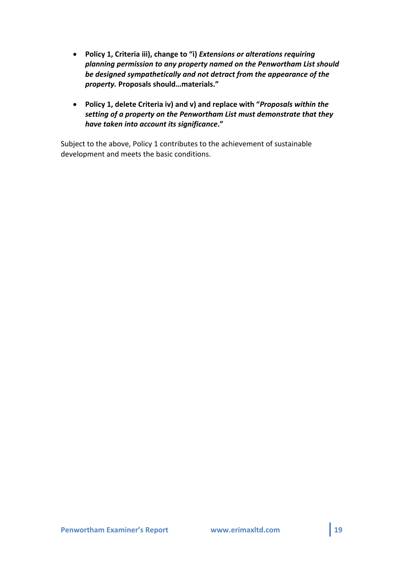- Policy 1, Criteria iii), change to "i) *Extensions or alterations requiring* planning permission to any property named on the Penwortham List should be designed sympathetically and not detract from the appearance of the *property.* **Proposals should…materials."**
- Policy 1, delete Criteria iv) and v) and replace with "*Proposals within the* setting of a property on the Penwortham List must demonstrate that they *have taken into account its significance***."**

Subject to the above, Policy 1 contributes to the achievement of sustainable development and meets the basic conditions.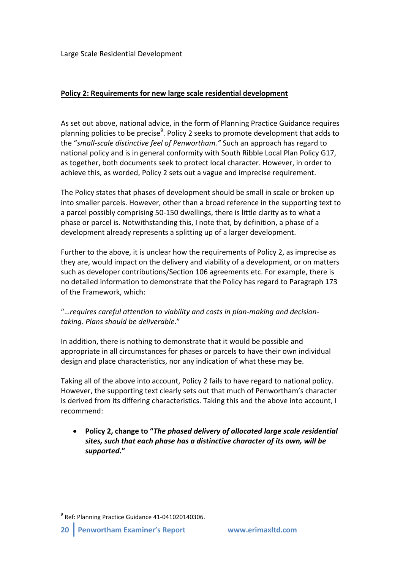## Large Scale Residential Development

# **Policy 2: Requirements for new large scale residential development**

As set out above, national advice, in the form of Planning Practice Guidance requires planning policies to be precise<sup>9</sup>. Policy 2 seeks to promote development that adds to the "small-scale distinctive feel of Penwortham." Such an approach has regard to national policy and is in general conformity with South Ribble Local Plan Policy G17, as together, both documents seek to protect local character. However, in order to achieve this, as worded, Policy 2 sets out a vague and imprecise requirement.

The Policy states that phases of development should be small in scale or broken up into smaller parcels. However, other than a broad reference in the supporting text to a parcel possibly comprising 50-150 dwellings, there is little clarity as to what a phase or parcel is. Notwithstanding this, I note that, by definition, a phase of a development already represents a splitting up of a larger development.

Further to the above, it is unclear how the requirements of Policy 2, as imprecise as they are, would impact on the delivery and viability of a development, or on matters such as developer contributions/Section 106 agreements etc. For example, there is no detailed information to demonstrate that the Policy has regard to Paragraph 173 of the Framework, which:

# "... requires careful attention to viability and costs in plan-making and decision*taking. Plans should be deliverable*."

In addition, there is nothing to demonstrate that it would be possible and appropriate in all circumstances for phases or parcels to have their own individual design and place characteristics, nor any indication of what these may be.

Taking all of the above into account, Policy 2 fails to have regard to national policy. However, the supporting text clearly sets out that much of Penwortham's character is derived from its differing characteristics. Taking this and the above into account, I recommend:

• Policy 2, change to "*The phased delivery of allocated large scale residential* sites, such that each phase has a distinctive character of its own, will be *supported***."**

 $9$  Ref: Planning Practice Guidance 41-041020140306.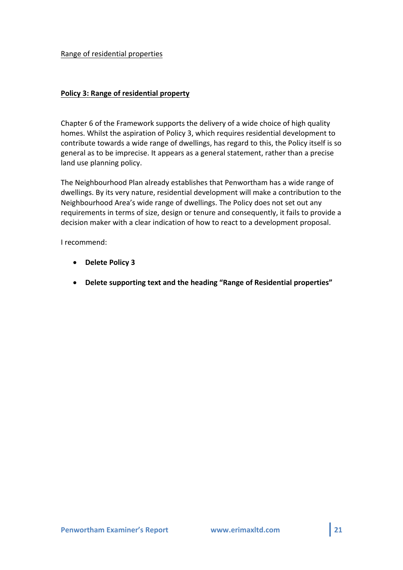#### Range of residential properties

## **Policy 3: Range of residential property**

Chapter 6 of the Framework supports the delivery of a wide choice of high quality homes. Whilst the aspiration of Policy 3, which requires residential development to contribute towards a wide range of dwellings, has regard to this, the Policy itself is so general as to be imprecise. It appears as a general statement, rather than a precise land use planning policy.

The Neighbourhood Plan already establishes that Penwortham has a wide range of dwellings. By its very nature, residential development will make a contribution to the Neighbourhood Area's wide range of dwellings. The Policy does not set out any requirements in terms of size, design or tenure and consequently, it fails to provide a decision maker with a clear indication of how to react to a development proposal.

I recommend:

- **Delete Policy 3**
- Delete supporting text and the heading "Range of Residential properties"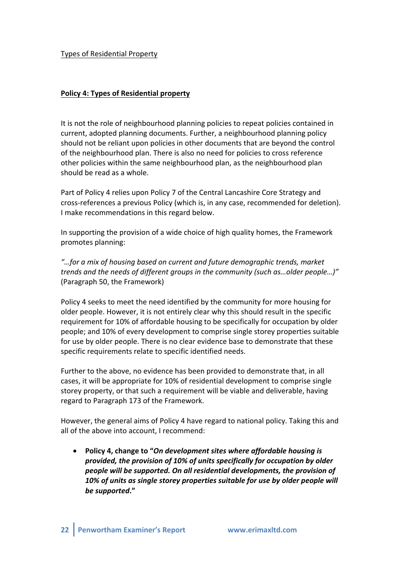## Types of Residential Property

## **Policy 4: Types of Residential property**

It is not the role of neighbourhood planning policies to repeat policies contained in current, adopted planning documents. Further, a neighbourhood planning policy should not be reliant upon policies in other documents that are beyond the control of the neighbourhood plan. There is also no need for policies to cross reference other policies within the same neighbourhood plan, as the neighbourhood plan should be read as a whole.

Part of Policy 4 relies upon Policy 7 of the Central Lancashire Core Strategy and cross-references a previous Policy (which is, in any case, recommended for deletion). I make recommendations in this regard below.

In supporting the provision of a wide choice of high quality homes, the Framework promotes planning:

"...for a mix of housing based on current and future demographic trends, market trends and the needs of different groups in the community (such as...older people...)" (Paragraph 50, the Framework)

Policy 4 seeks to meet the need identified by the community for more housing for older people. However, it is not entirely clear why this should result in the specific requirement for 10% of affordable housing to be specifically for occupation by older people; and 10% of every development to comprise single storey properties suitable for use by older people. There is no clear evidence base to demonstrate that these specific requirements relate to specific identified needs.

Further to the above, no evidence has been provided to demonstrate that, in all cases, it will be appropriate for 10% of residential development to comprise single storey property, or that such a requirement will be viable and deliverable, having regard to Paragraph 173 of the Framework.

However, the general aims of Policy 4 have regard to national policy. Taking this and all of the above into account, I recommend:

• Policy 4, change to "On development sites where affordable housing is *provided, the provision of 10% of units specifically for occupation by older people will be supported. On all residential developments, the provision of* 10% of units as single storey properties suitable for use by older people will *be supported***."**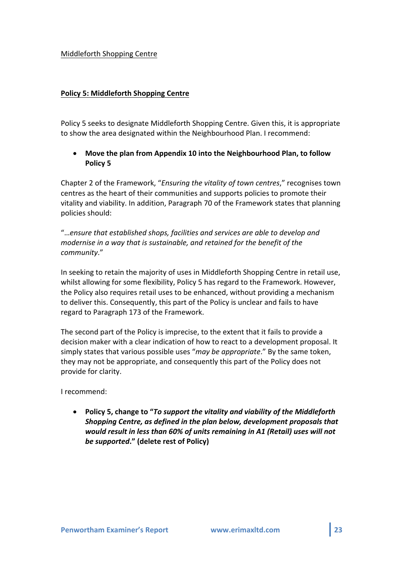## Middleforth Shopping Centre

## **Policy 5: Middleforth Shopping Centre**

Policy 5 seeks to designate Middleforth Shopping Centre. Given this, it is appropriate to show the area designated within the Neighbourhood Plan. I recommend:

# **Move the plan from Appendix 10 into the Neighbourhood Plan, to follow Policy 5**

Chapter 2 of the Framework, "*Ensuring the vitality of town centres*," recognises town centres as the heart of their communities and supports policies to promote their vitality and viability. In addition, Paragraph 70 of the Framework states that planning policies should:

"...ensure that established shops, facilities and services are able to develop and *modernise in a way that is sustainable, and retained for the benefit of the community*."

In seeking to retain the majority of uses in Middleforth Shopping Centre in retail use, whilst allowing for some flexibility, Policy 5 has regard to the Framework. However, the Policy also requires retail uses to be enhanced, without providing a mechanism to deliver this. Consequently, this part of the Policy is unclear and fails to have regard to Paragraph 173 of the Framework.

The second part of the Policy is imprecise, to the extent that it fails to provide a decision maker with a clear indication of how to react to a development proposal. It simply states that various possible uses "*may be appropriate*." By the same token, they may not be appropriate, and consequently this part of the Policy does not provide for clarity.

I recommend:

• Policy 5, change to "*To support the vitality and viability of the Middleforth Shopping Centre, as defined in the plan below, development proposals that would result in less than 60% of units remaining in A1 (Retail) uses will not* **be supported."** (delete rest of Policy)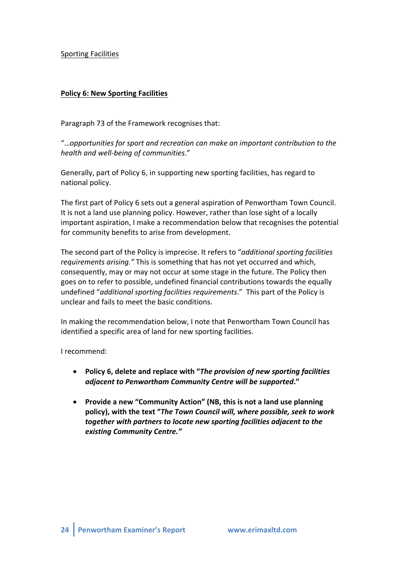Sporting Facilities

# **Policy 6: New Sporting Facilities**

Paragraph 73 of the Framework recognises that:

"...opportunities for sport and recreation can make an important contribution to the *health and well-being of communities*."

Generally, part of Policy 6, in supporting new sporting facilities, has regard to national policy.

The first part of Policy 6 sets out a general aspiration of Penwortham Town Council. It is not a land use planning policy. However, rather than lose sight of a locally important aspiration, I make a recommendation below that recognises the potential for community benefits to arise from development.

The second part of the Policy is imprecise. It refers to "*additional sporting facilities requirements arising."* This is something that has not yet occurred and which, consequently, may or may not occur at some stage in the future. The Policy then goes on to refer to possible, undefined financial contributions towards the equally undefined "additional sporting facilities requirements." This part of the Policy is unclear and fails to meet the basic conditions.

In making the recommendation below, I note that Penwortham Town Council has identified a specific area of land for new sporting facilities.

I recommend:

- Policy 6, delete and replace with "*The provision of new sporting facilities adjacent to Penwortham Community Centre will be supported***."**
- Provide a new "Community Action" (NB, this is not a land use planning policy), with the text "*The Town Council will, where possible, seek to work together with partners to locate new sporting facilities adjacent to the existing Community Centre."*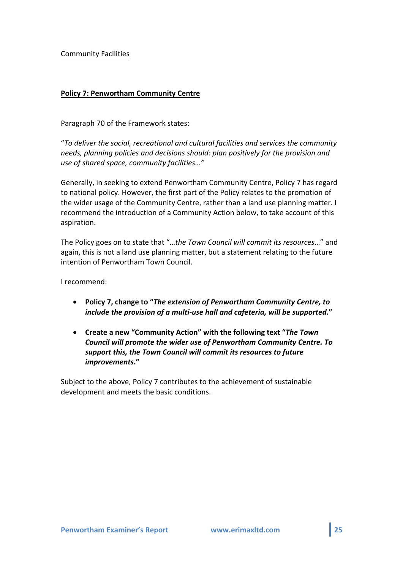## Community Facilities

## **Policy 7: Penwortham Community Centre**

Paragraph 70 of the Framework states:

"To deliver the social, recreational and cultural facilities and services the community needs, planning policies and decisions should: plan positively for the provision and *use of shared space, community facilities…"*

Generally, in seeking to extend Penwortham Community Centre, Policy 7 has regard to national policy. However, the first part of the Policy relates to the promotion of the wider usage of the Community Centre, rather than a land use planning matter. I recommend the introduction of a Community Action below, to take account of this aspiration. 

The Policy goes on to state that "...the Town Council will commit its resources..." and again, this is not a land use planning matter, but a statement relating to the future intention of Penwortham Town Council.

I recommend:

- **Policy 7, change to "The extension of Penwortham Community Centre, to** *include the provision of a multi-use hall and cafeteria, will be supported."*
- Create a new "Community Action" with the following text "The Town **Council will promote the wider use of Penwortham Community Centre. To** support this, the Town Council will commit its resources to future *improvements***."**

Subject to the above, Policy 7 contributes to the achievement of sustainable development and meets the basic conditions.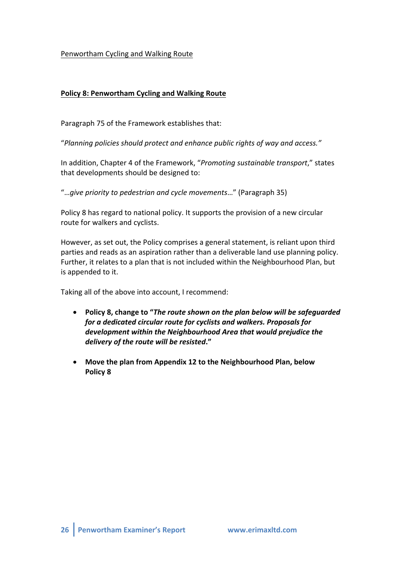## Penwortham Cycling and Walking Route

## **Policy 8: Penwortham Cycling and Walking Route**

Paragraph 75 of the Framework establishes that:

"Planning policies should protect and enhance public rights of way and access."

In addition, Chapter 4 of the Framework, "Promoting sustainable transport," states that developments should be designed to:

"...give priority to pedestrian and cycle movements..." (Paragraph 35)

Policy 8 has regard to national policy. It supports the provision of a new circular route for walkers and cyclists.

However, as set out, the Policy comprises a general statement, is reliant upon third parties and reads as an aspiration rather than a deliverable land use planning policy. Further, it relates to a plan that is not included within the Neighbourhood Plan, but is appended to it.

Taking all of the above into account, I recommend:

- Policy 8, change to "*The route shown on the plan below will be safeguarded for a dedicated circular route for cyclists and walkers. Proposals for* development within the Neighbourhood Area that would prejudice the *delivery of the route will be resisted***."**
- Move the plan from Appendix 12 to the Neighbourhood Plan, below **Policy 8**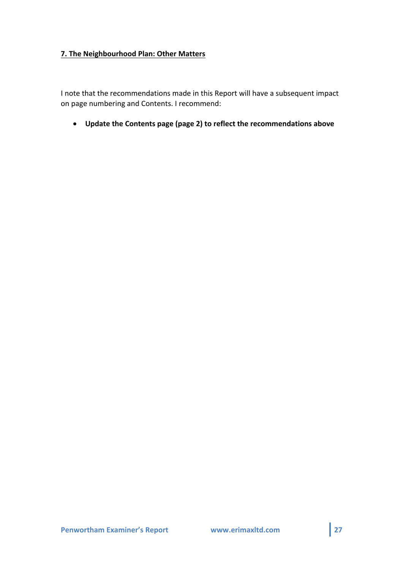# **7. The Neighbourhood Plan: Other Matters**

I note that the recommendations made in this Report will have a subsequent impact on page numbering and Contents. I recommend:

• **Update the Contents page (page 2) to reflect the recommendations above**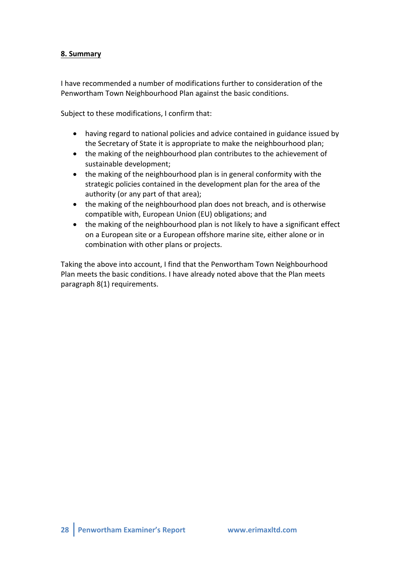# **8. Summary**

I have recommended a number of modifications further to consideration of the Penwortham Town Neighbourhood Plan against the basic conditions.

Subject to these modifications, I confirm that:

- having regard to national policies and advice contained in guidance issued by the Secretary of State it is appropriate to make the neighbourhood plan;
- $\bullet$  the making of the neighbourhood plan contributes to the achievement of sustainable development;
- $\bullet$  the making of the neighbourhood plan is in general conformity with the strategic policies contained in the development plan for the area of the authority (or any part of that area);
- $\bullet$  the making of the neighbourhood plan does not breach, and is otherwise compatible with, European Union (EU) obligations; and
- the making of the neighbourhood plan is not likely to have a significant effect on a European site or a European offshore marine site, either alone or in combination with other plans or projects.

Taking the above into account, I find that the Penwortham Town Neighbourhood Plan meets the basic conditions. I have already noted above that the Plan meets paragraph 8(1) requirements.